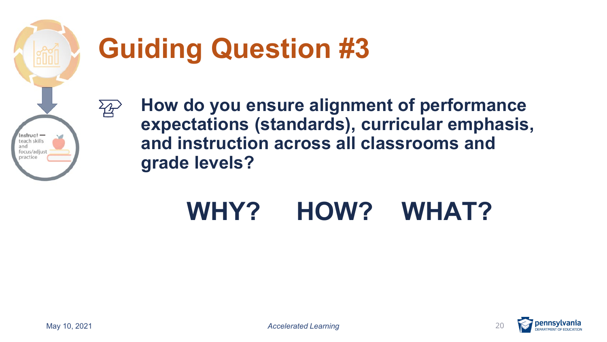

 $\overleftrightarrow{B}$ 

# **Guiding Question #3**

 **and instruction across all classrooms and How do you ensure alignment of performance expectations (standards), curricular emphasis, grade levels?** 

### **WHY? HOW? WHAT?**

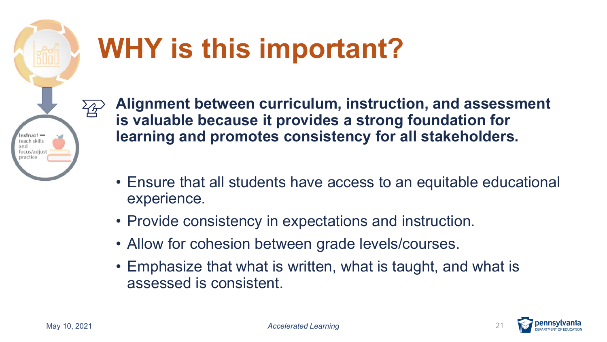

# **WHY is this important?**

 **learning and promotes consistency for all stakeholders. Alignment between curriculum, instruction, and assessment is valuable because it provides a strong foundation for**

- Ensure that all students have access to an equitable educational experience.
- Provide consistency in expectations and instruction.
- Allow for cohesion between grade levels/courses.
- • Emphasize that what is written, what is taught, and what is assessed is consistent.

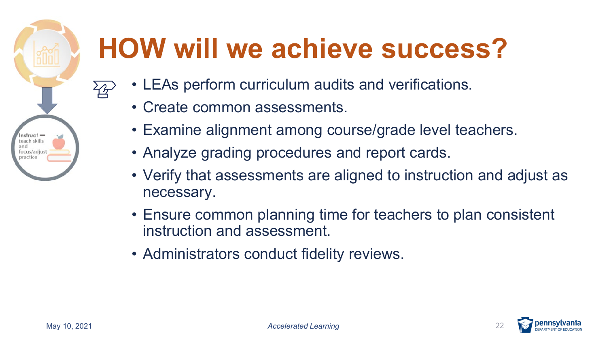# **HOW will we achieve success?**

- • LEAs perform curriculum audits and verifications.
	- Create common assessments.
	- Examine alignment among course/grade level teachers.
	- Analyze grading procedures and report cards.
	- Verify that assessments are aligned to instruction and adjust as necessary.
	- Ensure common planning time for teachers to plan consistent instruction and assessment.
	- Administrators conduct fidelity reviews.



Instruct teach skills and focus/adjust practice

ረት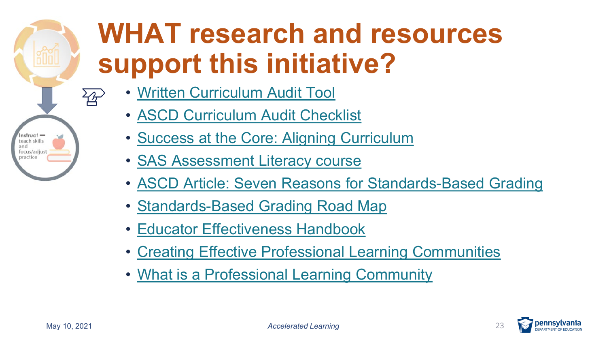## **WHAT research and resources support this initiative?**

- [Written Curriculum Audit Tool](https://dese.mo.gov/sites/default/files/Written-Curriculum-Audit-Tool.pdf) 
	- [ASCD Curriculum Audit Checklist](http://www.ascd.org/ascd/pdf/books/wigginsat2003_sample_pages.pdf)
	- [Success at the Core: Aligning Curriculum](https://learn.teachingchannel.com/aligning-curriculum-module-sac)
	- [SAS Assessment Literacy course](https://www.pdesas.org/Page/Viewer/ViewPage/28/)
	- [ASCD Article: Seven Reasons for Standards-Based Grading](http://www.ascd.org/publications/educational_leadership/oct08/vol66/num02/Seven_Reasons_for_Standards-Based_Grading.aspx)
	- [Standards-Based Grading Road Map](https://www.unit5.org/cms/lib/IL01905100/Centricity/Domain/997/HS%20SBG%20Guidebook%20RoadMap%20Final%2011-29-17%20-%20Copy.pdf)
	- [Educator Effectiveness Handbook](https://www.education.pa.gov/Documents/Teachers-Administrators/Educator%20Effectiveness/Educator%20Effectiveness%20Administrative%20Manual.pdf)
	- [Creating Effective Professional Learning Communities](https://www.edutopia.org/article/creating-effective-professional-learning-communities)
	- [What is a Professional Learning Community](http://www.ascd.org/publications/educational-leadership/may04/vol61/num08/What-Is-a-Professional-Learning-Community%C2%A2.aspx)





Instruct teach skills and focus/adjust practice

 $\overline{\mathcal{L}}$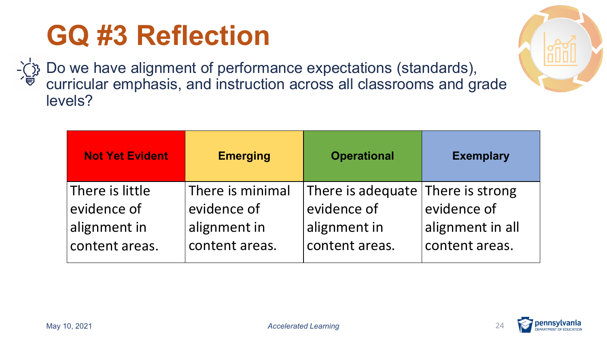## **GQ #3 Reflection**

Do we have alignment of performance expectations (standards), curricular emphasis, and instruction across all classrooms and grade levels?

| <b>Not Yet Evident</b>         | <b>Emerging</b>                 | <b>Operational</b>                               | <b>Exemplary</b> |
|--------------------------------|---------------------------------|--------------------------------------------------|------------------|
| There is little<br>evidence of | There is minimal<br>evidence of | There is adequate There is strong<br>evidence of | evidence of      |
| alignment in                   | alignment in                    | alignment in                                     | alignment in all |
| content areas.                 | content areas.                  | content areas.                                   | content areas.   |



**:lllll** 

**offering**